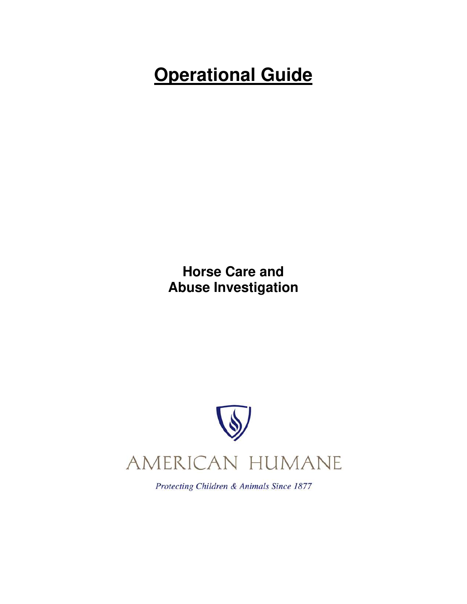# **Operational Guide**

**Horse Care and Abuse Investigation** 



Protecting Children & Animals Since 1877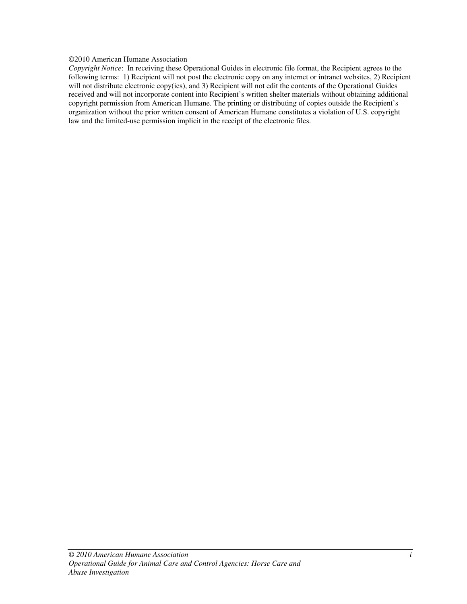#### ©2010 American Humane Association

*Copyright Notice*: In receiving these Operational Guides in electronic file format, the Recipient agrees to the following terms: 1) Recipient will not post the electronic copy on any internet or intranet websites, 2) Recipient will not distribute electronic copy(ies), and 3) Recipient will not edit the contents of the Operational Guides received and will not incorporate content into Recipient's written shelter materials without obtaining additional copyright permission from American Humane. The printing or distributing of copies outside the Recipient's organization without the prior written consent of American Humane constitutes a violation of U.S. copyright law and the limited-use permission implicit in the receipt of the electronic files.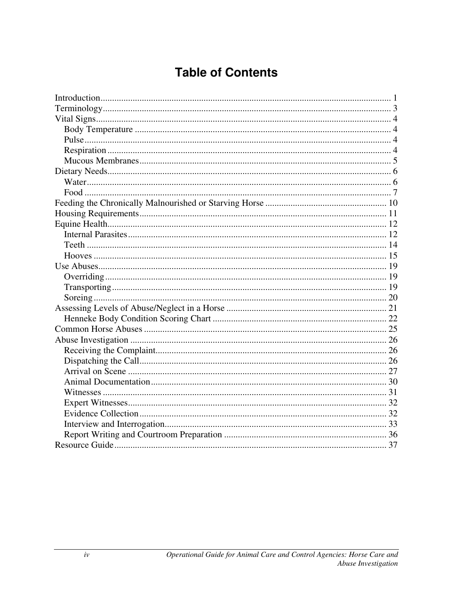# **Table of Contents**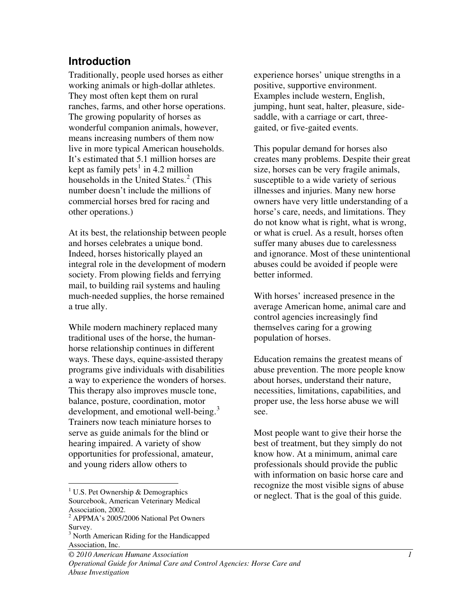### **Introduction**

Traditionally, people used horses as either working animals or high-dollar athletes. They most often kept them on rural ranches, farms, and other horse operations. The growing popularity of horses as wonderful companion animals, however, means increasing numbers of them now live in more typical American households. It's estimated that 5.1 million horses are kept as family pets<sup>1</sup> in 4.2 million households in the United States.<sup>2</sup> (This number doesn't include the millions of commercial horses bred for racing and other operations.)

At its best, the relationship between people and horses celebrates a unique bond. Indeed, horses historically played an integral role in the development of modern society. From plowing fields and ferrying mail, to building rail systems and hauling much-needed supplies, the horse remained a true ally.

While modern machinery replaced many traditional uses of the horse, the humanhorse relationship continues in different ways. These days, equine-assisted therapy programs give individuals with disabilities a way to experience the wonders of horses. This therapy also improves muscle tone, balance, posture, coordination, motor development, and emotional well-being.<sup>3</sup> Trainers now teach miniature horses to serve as guide animals for the blind or hearing impaired. A variety of show opportunities for professional, amateur, and young riders allow others to

 $\overline{a}$ 

experience horses' unique strengths in a positive, supportive environment. Examples include western, English, jumping, hunt seat, halter, pleasure, sidesaddle, with a carriage or cart, threegaited, or five-gaited events.

This popular demand for horses also creates many problems. Despite their great size, horses can be very fragile animals, susceptible to a wide variety of serious illnesses and injuries. Many new horse owners have very little understanding of a horse's care, needs, and limitations. They do not know what is right, what is wrong, or what is cruel. As a result, horses often suffer many abuses due to carelessness and ignorance. Most of these unintentional abuses could be avoided if people were better informed.

With horses' increased presence in the average American home, animal care and control agencies increasingly find themselves caring for a growing population of horses.

Education remains the greatest means of abuse prevention. The more people know about horses, understand their nature, necessities, limitations, capabilities, and proper use, the less horse abuse we will see.

Most people want to give their horse the best of treatment, but they simply do not know how. At a minimum, animal care professionals should provide the public with information on basic horse care and recognize the most visible signs of abuse or neglect. That is the goal of this guide.

<sup>&</sup>lt;sup>1</sup> U.S. Pet Ownership & Demographics Sourcebook, American Veterinary Medical Association, 2002.

<sup>&</sup>lt;sup>2</sup> APPMA's 2005/2006 National Pet Owners Survey.

<sup>&</sup>lt;sup>3</sup> North American Riding for the Handicapped Association, Inc.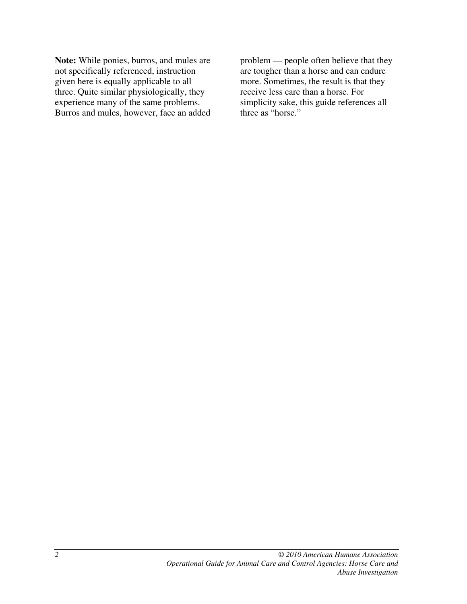**Note:** While ponies, burros, and mules are not specifically referenced, instruction given here is equally applicable to all three. Quite similar physiologically, they experience many of the same problems. Burros and mules, however, face an added

problem — people often believe that they are tougher than a horse and can endure more. Sometimes, the result is that they receive less care than a horse. For simplicity sake, this guide references all three as "horse."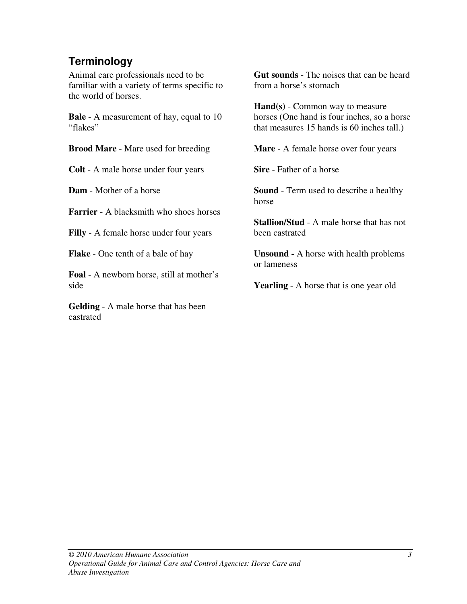# **Terminology**

Animal care professionals need to be familiar with a variety of terms specific to the world of horses.

**Bale** - A measurement of hay, equal to 10 "flakes"

**Brood Mare** - Mare used for breeding

**Colt** - A male horse under four years

**Dam** - Mother of a horse

**Farrier** - A blacksmith who shoes horses

**Filly** - A female horse under four years

**Flake** - One tenth of a bale of hay

**Foal** - A newborn horse, still at mother's side

**Gelding** - A male horse that has been castrated

**Gut sounds** - The noises that can be heard from a horse's stomach

**Hand(s)** - Common way to measure horses (One hand is four inches, so a horse that measures 15 hands is 60 inches tall.)

**Mare** - A female horse over four years

**Sire** - Father of a horse

**Sound** - Term used to describe a healthy horse

**Stallion/Stud** - A male horse that has not been castrated

**Unsound -** A horse with health problems or lameness

**Yearling** - A horse that is one year old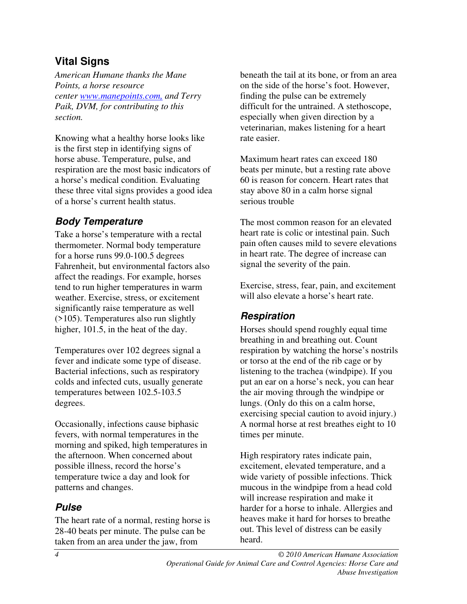# **Vital Signs**

*American Humane thanks the Mane Points, a horse resource center www.manepoints.com, and Terry Paik, DVM, for contributing to this ction. se*

Knowing what a healthy horse looks like respiration are the most basic indicators of these three vital signs provides a good idea of a horse's current health status. is the first step in identifying signs of horse abuse. Temperature, pulse, and a horse's medical condition. Evaluating

# **Body Temperature**

thermometer. Normal body temperature Fahrenheit, but environmental factors also  $($ >105). Temperatures also run slightly higher,  $101.5$ , in the heat of the day. Take a horse's temperature with a rectal for a horse runs 99.0-100.5 degrees affect the readings. For example, horses tend to run higher temperatures in warm weather. Exercise, stress, or excitement significantly raise temperature as well

colds and infected cuts, usually generate temperatures between 102.5-103.5 degrees. Temperatures over 102 degrees signal a fever and indicate some type of disease. Bacterial infections, such as respiratory

morning and spiked, high temperatures in the afternoon. When concerned about temperature twice a day and look for patterns and changes. Occasionally, infections cause biphasic fevers, with normal temperatures in the possible illness, record the horse's

# **Pulse**

28-40 beats per minute. The pulse can be The heart rate of a normal, resting horse is taken from an area under the jaw, from

beneath the tail at its bone, or from an area on the side of the horse's foot. However, difficult for the untrained. A stethoscope, veterinarian, makes listening for a heart rate easier. finding the pulse can be extremely especially when given direction by a

60 is reason for concern. Heart rates that stay above 80 in a calm horse signal serious trouble Maximum heart rates can exceed 180 beats per minute, but a resting rate above

pain often causes mild to severe elevations in heart rate. The degree of increase can signal the severity of the pain. The most common reason for an elevated heart rate is colic or intestinal pain. Such

Exercise, stress, fear, pain, and excitement will also elevate a horse's heart rate.

# **Respiration**

Horses should spend roughly equal time respiration by watching the horse's nostrils put an ear on a horse's neck, you can hear the air moving through the windpipe or A normal horse at rest breathes eight to 10 times per minute. breathing in and breathing out. Count or torso at the end of the rib cage or by listening to the trachea (windpipe). If you lungs. (Only do this on a calm horse, exercising special caution to avoid injury.)

mucous in the windpipe from a head cold heaves make it hard for horses to breathe out. This level of distress can be easily heard. High respiratory rates indicate pain, excitement, elevated temperature, and a wide variety of possible infections. Thick will increase respiration and make it harder for a horse to inhale. Allergies and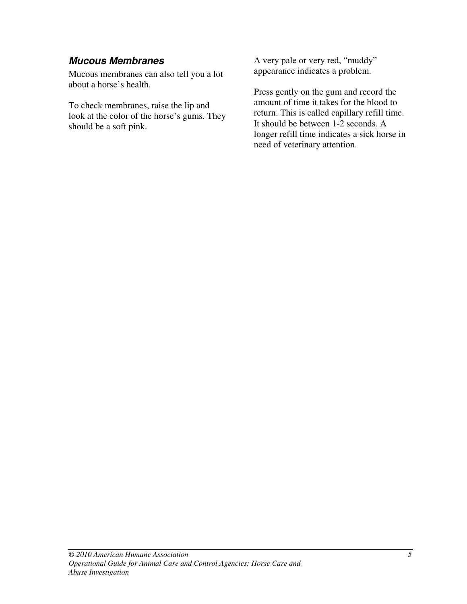### **Mucous Membranes**

Mucous membranes can also tell you a lot about a horse's health.

To check membranes, raise the lip and look at the color of the horse's gums. They should be a soft pink.

A very pale or very red, "muddy" appearance indicates a problem.

Press gently on the gum and record the amount of time it takes for the blood to return. This is called capillary refill time. It should be between 1-2 seconds. A longer refill time indicates a sick horse in need of veterinary attention.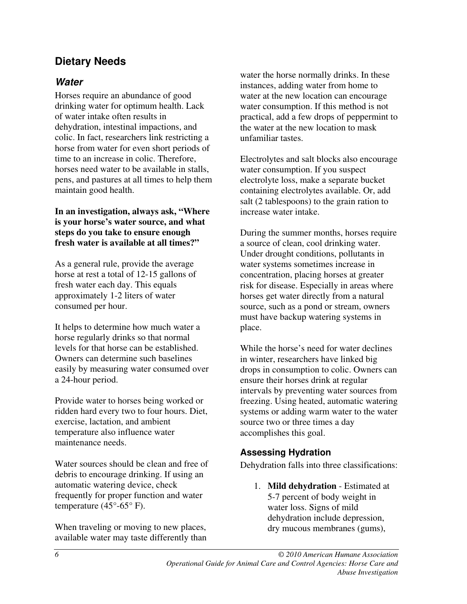# **Dietary Needs**

### **Water**

Horses require an abundance of good drinking water for optimum health. Lack of water intake often results in dehydration, intestinal impactions, and colic. In fact, researchers link restricting a horse from water for even short periods of time to an increase in colic. Therefore, horses need water to be available in stalls, pens, and pastures at all times to help them maintain good health.

**In an investigation, always ask, "Where is your horse's water source, and what steps do you take to ensure enough fresh water is available at all times?"** 

As a general rule, provide the average horse at rest a total of 12-15 gallons of fresh water each day. This equals approximately 1-2 liters of water consumed per hour.

It helps to determine how much water a horse regularly drinks so that normal levels for that horse can be established. Owners can determine such baselines easily by measuring water consumed over a 24-hour period.

Provide water to horses being worked or ridden hard every two to four hours. Diet, exercise, lactation, and ambient temperature also influence water maintenance needs.

Water sources should be clean and free of debris to encourage drinking. If using an automatic watering device, check frequently for proper function and water temperature  $(45^{\circ}$ -65° F).

When traveling or moving to new places, available water may taste differently than water the horse normally drinks. In these instances, adding water from home to water at the new location can encourage water consumption. If this method is not practical, add a few drops of peppermint to the water at the new location to mask unfamiliar tastes.

Electrolytes and salt blocks also encourage water consumption. If you suspect electrolyte loss, make a separate bucket containing electrolytes available. Or, add salt (2 tablespoons) to the grain ration to increase water intake.

During the summer months, horses require a source of clean, cool drinking water. Under drought conditions, pollutants in water systems sometimes increase in concentration, placing horses at greater risk for disease. Especially in areas where horses get water directly from a natural source, such as a pond or stream, owners must have backup watering systems in place.

While the horse's need for water declines in winter, researchers have linked big drops in consumption to colic. Owners can ensure their horses drink at regular intervals by preventing water sources from freezing. Using heated, automatic watering systems or adding warm water to the water source two or three times a day accomplishes this goal.

#### **Assessing Hydration**

Dehydration falls into three classifications:

1. **Mild dehydration** - Estimated at 5-7 percent of body weight in water loss. Signs of mild dehydration include depression, dry mucous membranes (gums),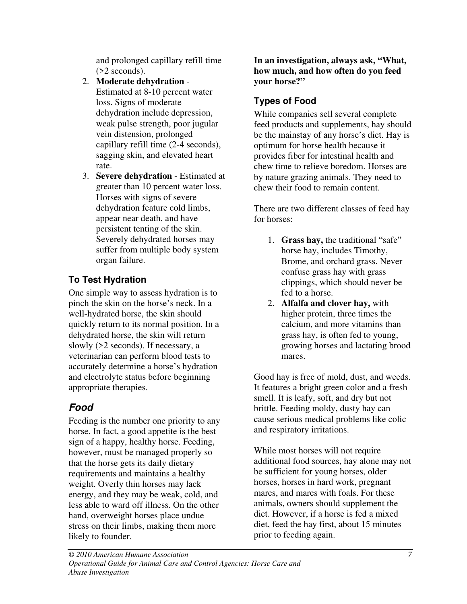and prolonged capillary refill time (>2 seconds).

- 2. **Moderate dehydration** Estimated at 8-10 percent water loss. Signs of moderate dehydration include depression, weak pulse strength, poor jugular vein distension, prolonged capillary refill time (2-4 seconds), sagging skin, and elevated heart rate.
- 3. **Severe dehydration** Estimated at greater than 10 percent water loss. Horses with signs of severe dehydration feature cold limbs, appear near death, and have persistent tenting of the skin. Severely dehydrated horses may suffer from multiple body system organ failure.

# **To Test Hydration**

One simple way to assess hydration is to pinch the skin on the horse's neck. In a well-hydrated horse, the skin should quickly return to its normal position. In a dehydrated horse, the skin will return slowly (>2 seconds). If necessary, a veterinarian can perform blood tests to accurately determine a horse's hydration and electrolyte status before beginning appropriate therapies.

# **Food**

Feeding is the number one priority to any horse. In fact, a good appetite is the best sign of a happy, healthy horse. Feeding, however, must be managed properly so that the horse gets its daily dietary requirements and maintains a healthy weight. Overly thin horses may lack energy, and they may be weak, cold, and less able to ward off illness. On the other hand, overweight horses place undue stress on their limbs, making them more likely to founder.

**In an investigation, always ask, "What, how much, and how often do you feed your horse?"** 

# **Types of Food**

While companies sell several complete feed products and supplements, hay should be the mainstay of any horse's diet. Hay is optimum for horse health because it provides fiber for intestinal health and chew time to relieve boredom. Horses are by nature grazing animals. They need to chew their food to remain content.

There are two different classes of feed hay for horses:

- 1. **Grass hay,** the traditional "safe" horse hay, includes Timothy, Brome, and orchard grass. Never confuse grass hay with grass clippings, which should never be fed to a horse.
- 2. **Alfalfa and clover hay,** with higher protein, three times the calcium, and more vitamins than grass hay, is often fed to young, growing horses and lactating brood mares.

Good hay is free of mold, dust, and weeds. It features a bright green color and a fresh smell. It is leafy, soft, and dry but not brittle. Feeding moldy, dusty hay can cause serious medical problems like colic and respiratory irritations.

While most horses will not require additional food sources, hay alone may not be sufficient for young horses, older horses, horses in hard work, pregnant mares, and mares with foals. For these animals, owners should supplement the diet. However, if a horse is fed a mixed diet, feed the hay first, about 15 minutes prior to feeding again.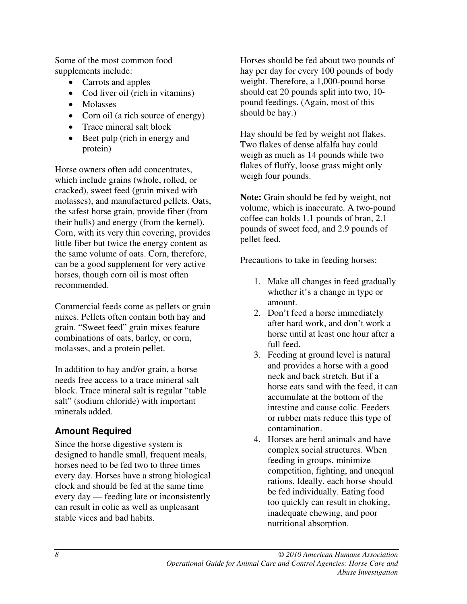Some of the most common food supplements include:

- Carrots and apples
- Cod liver oil (rich in vitamins)
- Molasses
- Corn oil (a rich source of energy)
- Trace mineral salt block
- Beet pulp (rich in energy and protein)

Horse owners often add concentrates, which include grains (whole, rolled, or cracked), sweet feed (grain mixed with molasses), and manufactured pellets. Oats, the safest horse grain, provide fiber (from their hulls) and energy (from the kernel). Corn, with its very thin covering, provides little fiber but twice the energy content as the same volume of oats. Corn, therefore, can be a good supplement for very active horses, though corn oil is most often recommended.

Commercial feeds come as pellets or grain mixes. Pellets often contain both hay and grain. "Sweet feed" grain mixes feature combinations of oats, barley, or corn, molasses, and a protein pellet.

In addition to hay and/or grain, a horse needs free access to a trace mineral salt block. Trace mineral salt is regular "table salt" (sodium chloride) with important minerals added.

### **Amount Required**

Since the horse digestive system is designed to handle small, frequent meals, horses need to be fed two to three times every day. Horses have a strong biological clock and should be fed at the same time every day — feeding late or inconsistently can result in colic as well as unpleasant stable vices and bad habits.

Horses should be fed about two pounds of hay per day for every 100 pounds of body weight. Therefore, a 1,000-pound horse should eat 20 pounds split into two, 10 pound feedings. (Again, most of this should be hay.)

Hay should be fed by weight not flakes. Two flakes of dense alfalfa hay could weigh as much as 14 pounds while two flakes of fluffy, loose grass might only weigh four pounds.

**Note:** Grain should be fed by weight, not volume, which is inaccurate. A two-pound coffee can holds 1.1 pounds of bran, 2.1 pounds of sweet feed, and 2.9 pounds of pellet feed.

Precautions to take in feeding horses:

- 1. Make all changes in feed gradually whether it's a change in type or amount.
- 2. Don't feed a horse immediately after hard work, and don't work a horse until at least one hour after a full feed.
- 3. Feeding at ground level is natural and provides a horse with a good neck and back stretch. But if a horse eats sand with the feed, it can accumulate at the bottom of the intestine and cause colic. Feeders or rubber mats reduce this type of contamination.
- 4. Horses are herd animals and have complex social structures. When feeding in groups, minimize competition, fighting, and unequal rations. Ideally, each horse should be fed individually. Eating food too quickly can result in choking, inadequate chewing, and poor nutritional absorption.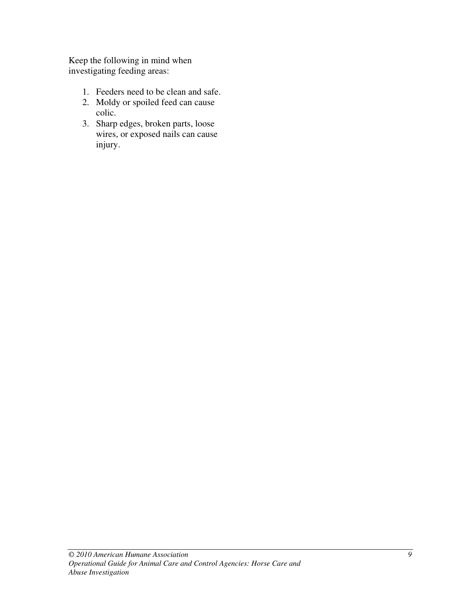Keep the following in mind when investigating feeding areas:

- 1. Feeders need to be clean and safe.
- 2. Moldy or spoiled feed can cause colic.
- 3. Sharp edges, broken parts, loose wires, or exposed nails can cause injury.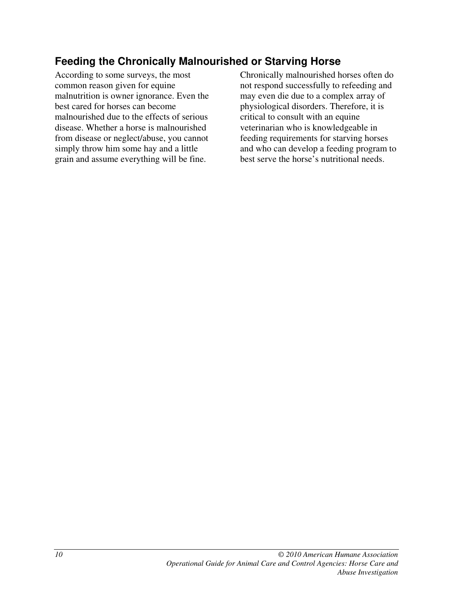# **Feeding the Chronically Malnourished or Starving Horse**

According to some surveys, the most common reason given for equine malnutrition is owner ignorance. Even the best cared for horses can become malnourished due to the effects of serious disease. Whether a horse is malnourished from disease or neglect/abuse, you cannot simply throw him some hay and a little grain and assume everything will be fine.

Chronically malnourished horses often do not respond successfully to refeeding and may even die due to a complex array of physiological disorders. Therefore, it is critical to consult with an equine veterinarian who is knowledgeable in feeding requirements for starving horses and who can develop a feeding program to best serve the horse's nutritional needs.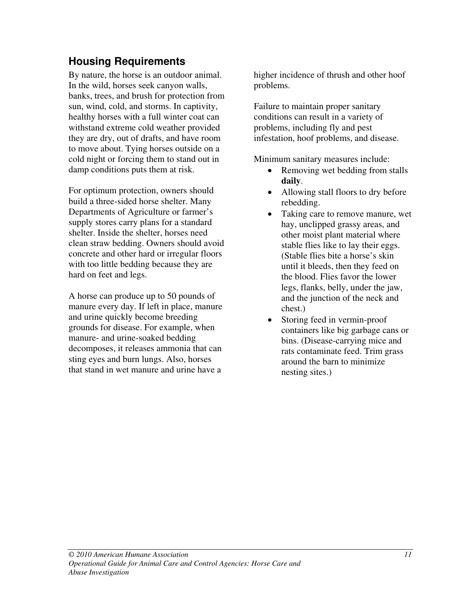# **Housing Requirements**

By nature, the horse is an outdoor animal. In the wild, horses seek canyon walls, banks, trees, and brush for protection from sun, wind, cold, and storms. In captivity, healthy horses with a full winter coat can withstand extreme cold weather provided they are dry, out of drafts, and have room to move about. Tying horses outside on a cold night or forcing them to stand out in damp conditions puts them at risk.

For optimum protection, owners should build a three-sided horse shelter. Many Departments of Agriculture or farmer's supply stores carry plans for a standard shelter. Inside the shelter, horses need clean straw bedding. Owners should avoid concrete and other hard or irregular floors with too little bedding because they are hard on feet and legs.

A horse can produce up to 50 pounds of manure every day. If left in place, manure and urine quickly become breeding grounds for disease. For example, when manure- and urine-soaked bedding decomposes, it releases ammonia that can sting eyes and burn lungs. Also, horses that stand in wet manure and urine have a

higher incidence of thrush and other hoof problems.

Failure to maintain proper sanitary conditions can result in a variety of problems, including fly and pest infestation, hoof problems, and disease.

Minimum sanitary measures include:

- Removing wet bedding from stalls **daily**.
- Allowing stall floors to dry before rebedding.
- Taking care to remove manure, wet hay, unclipped grassy areas, and other moist plant material where stable flies like to lay their eggs. (Stable flies bite a horse's skin until it bleeds, then they feed on the blood. Flies favor the lower legs, flanks, belly, under the jaw, and the junction of the neck and chest.)
- Storing feed in vermin-proof containers like big garbage cans or bins. (Disease-carrying mice and rats contaminate feed. Trim grass around the barn to minimize nesting sites.)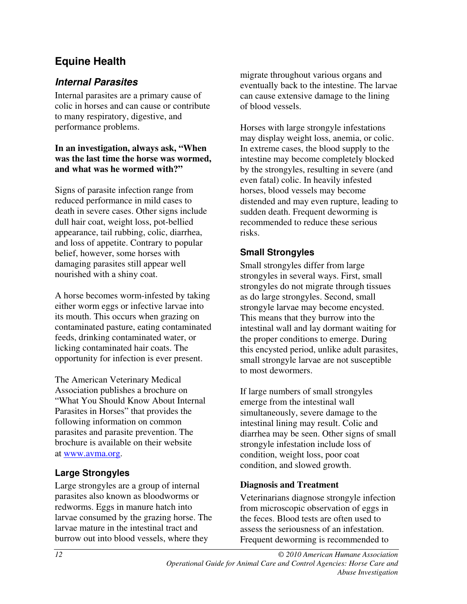# **Equine Health**

# **Internal Parasites**

Internal parasites are a primary cause of colic in horses and can cause or contribute to many respiratory, digestive, and performance problems.

#### **In an investigation, always ask, "When was the last time the horse was wormed, and what was he wormed with?"**

Signs of parasite infection range from reduced performance in mild cases to death in severe cases. Other signs include dull hair coat, weight loss, pot-bellied appearance, tail rubbing, colic, diarrhea, and loss of appetite. Contrary to popular belief, however, some horses with damaging parasites still appear well nourished with a shiny coat.

A horse becomes worm-infested by taking either worm eggs or infective larvae into its mouth. This occurs when grazing on contaminated pasture, eating contaminated feeds, drinking contaminated water, or licking contaminated hair coats. The opportunity for infection is ever present.

The American Veterinary Medical Association publishes a brochure on "What You Should Know About Internal Parasites in Horses" that provides the following information on common parasites and parasite prevention. The brochure is available on their website at www.avma.org .

### **Large Strongyles**

Large strongyles are a group of internal parasites also known as bloodworms or redworms. Eggs in manure hatch into larvae consumed by the grazing horse. The larvae mature in the intestinal tract and burrow out into blood vessels, where they

migrate throughout various organs and eventually back to the intestine. The larvae can cause extensive damage to the lining of blood vessels.

Horses with large strongyle infestations may display weight loss, anemia, or colic. In extreme cases, the blood supply to the intestine may become completely blocked by the strongyles, resulting in severe (and even fatal) colic. In heavily infested horses, blood vessels may become distended and may even rupture, leading to sudden death. Frequent deworming is recommended to reduce these serious risks.

### **Small Strongyles**

Small strongyles differ from large strongyles in several ways. First, small strongyles do not migrate through tissues as do large strongyles. Second, small strongyle larvae may become encysted. This means that they burrow into the intestinal wall and lay dormant waiting for the proper conditions to emerge. During this encysted period, unlike adult parasites, small strongyle larvae are not susceptible to most dewormers.

If large numbers of small strongyles emerge from the intestinal wall simultaneously, severe damage to the intestinal lining may result. Colic and diarrhea may be seen. Other signs of small strongyle infestation include loss of condition, weight loss, poor coat condition, and slowed growth.

### **Diagnosis and Treatment**

Veterinarians diagnose strongyle infection from microscopic observation of eggs in the feces. Blood tests are often used to assess the seriousness of an infestation. Frequent deworming is recommended to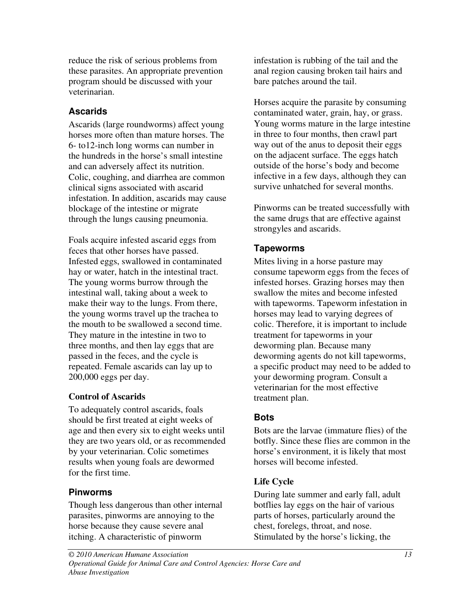reduce the risk of serious problems from these parasites. An appropriate prevention program should be discussed with your veterinarian.

### **Ascarids**

Ascarids (large roundworms) affect young horses more often than mature horses. The 6- to12-inch long worms can number in the hundreds in the horse's small intestine and can adversely affect its nutrition. Colic, coughing, and diarrhea are common clinical signs associated with ascarid infestation. In addition, ascarids may cause blockage of the intestine or migrate through the lungs causing pneumonia.

Foals acquire infested ascarid eggs from feces that other horses have passed. Infested eggs, swallowed in contaminated hay or water, hatch in the intestinal tract. The young worms burrow through the intestinal wall, taking about a week to make their way to the lungs. From there, the young worms travel up the trachea to the mouth to be swallowed a second time. They mature in the intestine in two to three months, and then lay eggs that are passed in the feces, and the cycle is repeated. Female ascarids can lay up to 200,000 eggs per day.

### **Control of Ascarids**

To adequately control ascarids, foals should be first treated at eight weeks of age and then every six to eight weeks until they are two years old, or as recommended by your veterinarian. Colic sometimes results when young foals are dewormed for the first time.

### **Pinworms**

Though less dangerous than other internal parasites, pinworms are annoying to the horse because they cause severe anal itching. A characteristic of pinworm

infestation is rubbing of the tail and the anal region causing broken tail hairs and bare patches around the tail.

Horses acquire the parasite by consuming contaminated water, grain, hay, or grass. Young worms mature in the large intestine in three to four months, then crawl part way out of the anus to deposit their eggs on the adjacent surface. The eggs hatch outside of the horse's body and become infective in a few days, although they can survive unhatched for several months.

Pinworms can be treated successfully with the same drugs that are effective against strongyles and ascarids.

# **Tapeworms**

Mites living in a horse pasture may consume tapeworm eggs from the feces of infested horses. Grazing horses may then swallow the mites and become infested with tapeworms. Tapeworm infestation in horses may lead to varying degrees of colic. Therefore, it is important to include treatment for tapeworms in your deworming plan. Because many deworming agents do not kill tapeworms, a specific product may need to be added to your deworming program. Consult a veterinarian for the most effective treatment plan.

### **Bots**

Bots are the larvae (immature flies) of the botfly. Since these flies are common in the horse's environment, it is likely that most horses will become infested.

# **Life Cycle**

During late summer and early fall, adult botflies lay eggs on the hair of various parts of horses, particularly around the chest, forelegs, throat, and nose. Stimulated by the horse's licking, the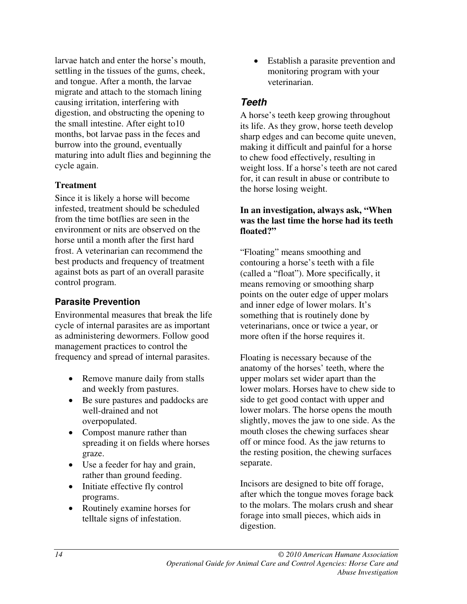larvae hatch and enter the horse's mouth, settling in the tissues of the gums, cheek, and tongue. After a month, the larvae migrate and attach to the stomach lining causing irritation, interfering with digestion, and obstructing the opening to the small intestine. After eight to10 months, bot larvae pass in the feces and burrow into the ground, eventually maturing into adult flies and beginning the cycle again.

#### **Treatment**

Since it is likely a horse will become infested, treatment should be scheduled from the time botflies are seen in the environment or nits are observed on the horse until a month after the first hard frost. A veterinarian can recommend the best products and frequency of treatment against bots as part of an overall parasite control program.

#### **Parasite Prevention**

Environmental measures that break the life cycle of internal parasites are as important as administering dewormers. Follow good management practices to control the frequency and spread of internal parasites.

- Remove manure daily from stalls and weekly from pastures.
- Be sure pastures and paddocks are well-drained and not overpopulated.
- Compost manure rather than spreading it on fields where horses graze.
- Use a feeder for hay and grain, rather than ground feeding.
- Initiate effective fly control programs.
- Routinely examine horses for telltale signs of infestation.

• Establish a parasite prevention and monitoring program with your veterinarian.

### **Teeth**

A horse's teeth keep growing throughout its life. As they grow, horse teeth develop sharp edges and can become quite uneven, making it difficult and painful for a horse to chew food effectively, resulting in weight loss. If a horse's teeth are not cared for, it can result in abuse or contribute to the horse losing weight.

#### **In an investigation, always ask, "When was the last time the horse had its teeth floated?"**

"Floating" means smoothing and contouring a horse's teeth with a file (called a "float"). More specifically, it means removing or smoothing sharp points on the outer edge of upper molars and inner edge of lower molars. It's something that is routinely done by veterinarians, once or twice a year, or more often if the horse requires it.

Floating is necessary because of the anatomy of the horses' teeth, where the upper molars set wider apart than the lower molars. Horses have to chew side to side to get good contact with upper and lower molars. The horse opens the mouth slightly, moves the jaw to one side. As the mouth closes the chewing surfaces shear off or mince food. As the jaw returns to the resting position, the chewing surfaces separate.

Incisors are designed to bite off forage, after which the tongue moves forage back to the molars. The molars crush and shear forage into small pieces, which aids in digestion.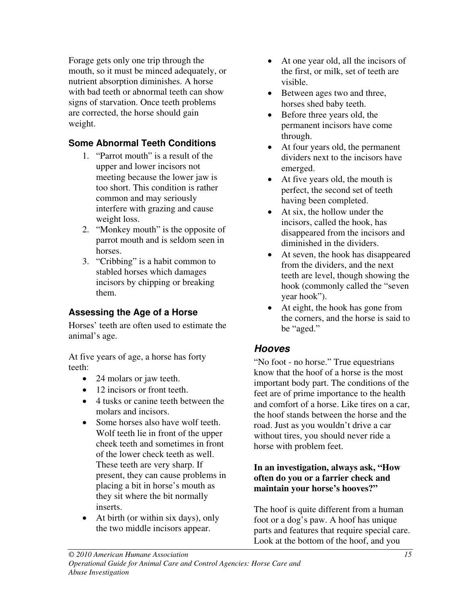Forage gets only one trip through the mouth, so it must be minced adequately, or nutrient absorption diminishes. A horse with bad teeth or abnormal teeth can show signs of starvation. Once teeth problems are corrected, the horse should gain weight.

# **Some Abnormal Teeth Conditions**

- 1. "Parrot mouth" is a result of the upper and lower incisors not meeting because the lower jaw is too short. This condition is rather common and may seriously interfere with grazing and cause weight loss.
- 2. "Monkey mouth" is the opposite of parrot mouth and is seldom seen in horses.
- 3. "Cribbing" is a habit common to stabled horses which damages incisors by chipping or breaking them.

### **Assessing the Age of a Horse**

Horses' teeth are often used to estimate the animal's age.

At five years of age, a horse has forty teeth:

- 24 molars or jaw teeth.
- 12 incisors or front teeth.
- 4 tusks or canine teeth between the molars and incisors.
- Some horses also have wolf teeth. Wolf teeth lie in front of the upper cheek teeth and sometimes in front of the lower check teeth as well. These teeth are very sharp. If present, they can cause problems in placing a bit in horse's mouth as they sit where the bit normally inserts.
- At birth (or within six days), only the two middle incisors appear.
- At one year old, all the incisors of the first, or milk, set of teeth are visible.
- Between ages two and three, horses shed baby teeth.
- Before three years old, the permanent incisors have come through.
- At four years old, the permanent dividers next to the incisors have emerged.
- At five years old, the mouth is perfect, the second set of teeth having been completed.
- At six, the hollow under the incisors, called the hook, has disappeared from the incisors and diminished in the dividers.
- At seven, the hook has disappeared from the dividers, and the next teeth are level, though showing the hook (commonly called the "seven year hook").
- At eight, the hook has gone from the corners, and the horse is said to be "aged."

# **Hooves**

"No foot - no horse." True equestrians know that the hoof of a horse is the most important body part. The conditions of the feet are of prime importance to the health and comfort of a horse. Like tires on a car, the hoof stands between the horse and the road. Just as you wouldn't drive a car without tires, you should never ride a horse with problem feet.

#### **In an investigation, always ask, "How often do you or a farrier check and maintain your horse's hooves?"**

The hoof is quite different from a human foot or a dog's paw. A hoof has unique parts and features that require special care. Look at the bottom of the hoof, and you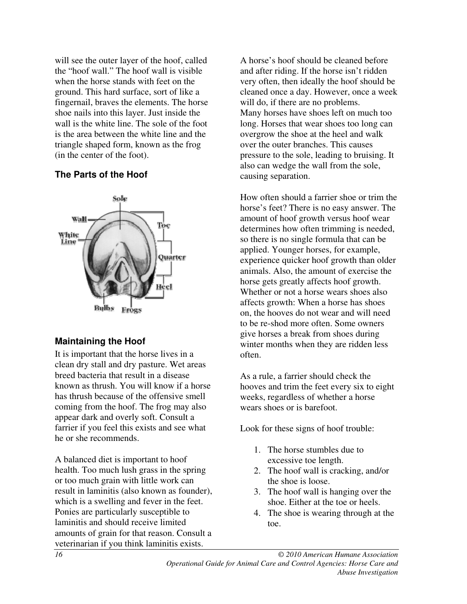will see the outer layer of the hoof, called the "hoof wall." The hoof wall is visible when the horse stands with feet on the ground. This hard surface, sort of like a fingernail, braves the elements. The horse shoe nails into this layer. Just inside the wall is the white line. The sole of the foot is the area between the white line and the triangle shaped form, known as the frog (in the center of the foot).

#### **The Parts of the Hoof**



#### **Maintaining the Hoof**

It is important that the horse lives in a clean dry stall and dry pasture. Wet areas breed bacteria that result in a disease known as thrush. You will know if a horse has thrush because of the offensive smell coming from the hoof. The frog may also appear dark and overly soft. Consult a farrier if you feel this exists and see what he or she recommends.

A balanced diet is important to hoof health. Too much lush grass in the spring or too much grain with little work can result in laminitis (also known as founder), which is a swelling and fever in the feet. Ponies are particularly susceptible to laminitis and should receive limited amounts of grain for that reason. Consult a veterinarian if you think laminitis exists.

A horse's hoof should be cleaned before and after riding. If the horse isn't ridden very often, then ideally the hoof should be cleaned once a day. However, once a week will do, if there are no problems. Many horses have shoes left on much too long. Horses that wear shoes too long can overgrow the shoe at the heel and walk over the outer branches. This causes pressure to the sole, leading to bruising. It also can wedge the wall from the sole, causing separation.

How often should a farrier shoe or trim the horse's feet? There is no easy answer. The amount of hoof growth versus hoof wear determines how often trimming is needed, so there is no single formula that can be applied. Younger horses, for example, experience quicker hoof growth than older animals. Also, the amount of exercise the horse gets greatly affects hoof growth. Whether or not a horse wears shoes also affects growth: When a horse has shoes on, the hooves do not wear and will need to be re-shod more often. Some owners give horses a break from shoes during winter months when they are ridden less often.

As a rule, a farrier should check the hooves and trim the feet every six to eight weeks, regardless of whether a horse wears shoes or is barefoot.

Look for these signs of hoof trouble:

- 1. The horse stumbles due to excessive toe length.
- 2. The hoof wall is cracking, and/or the shoe is loose.
- 3. The hoof wall is hanging over the shoe. Either at the toe or heels.
- 4. The shoe is wearing through at the toe.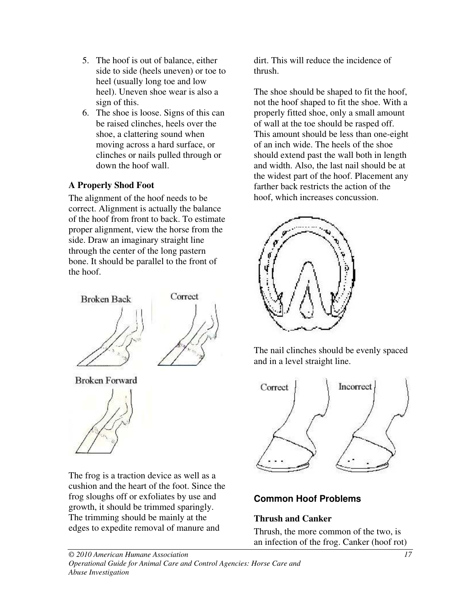- 5. The hoof is out of balance, either side to side (heels uneven) or toe to heel (usually long toe and low heel). Uneven shoe wear is also a sign of this.
- 6. The shoe is loose. Signs of this can be raised clinches, heels over the shoe, a clattering sound when moving across a hard surface, or clinches or nails pulled through or down the hoof wall.

### **A Properly Shod Foot**

The alignment of the hoof needs to be correct. Alignment is actually the balance of the hoof from front to back. To estimate proper alignment, view the horse from the side. Draw an imaginary straight line through the center of the long pastern bone. It should be parallel to the front of the hoof.



**Broken Forward** 



The frog is a traction device as well as a cushion and the heart of the foot. Since the frog sloughs off or exfoliates by use and growth, it should be trimmed sparingly. The trimming should be mainly at the edges to expedite removal of manure and

dirt. This will reduce the incidence of thrush.

The shoe should be shaped to fit the hoof, not the hoof shaped to fit the shoe. With a properly fitted shoe, only a small amount of wall at the toe should be rasped off. This amount should be less than one-eight of an inch wide. The heels of the shoe should extend past the wall both in length and width. Also, the last nail should be at the widest part of the hoof. Placement any farther back restricts the action of the hoof, which increases concussion.



The nail clinches should be evenly spaced and in a level straight line.



# **Common Hoof Problems**

### **Thrush and Canker**

Thrush, the more common of the two, is an infection of the frog. Canker (hoof rot)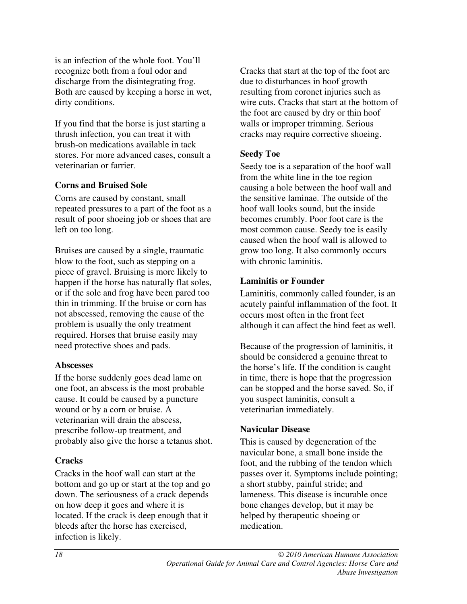is an infection of the whole foot. You'll recognize both from a foul odor and discharge from the disintegrating frog. Both are caused by keeping a horse in wet, dirty conditions.

If you find that the horse is just starting a thrush infection, you can treat it with brush-on medications available in tack stores. For more advanced cases, consult a veterinarian or farrier.

#### **Corns and Bruised Sole**

Corns are caused by constant, small repeated pressures to a part of the foot as a result of poor shoeing job or shoes that are left on too long.

Bruises are caused by a single, traumatic blow to the foot, such as stepping on a piece of gravel. Bruising is more likely to happen if the horse has naturally flat soles, or if the sole and frog have been pared too thin in trimming. If the bruise or corn has not abscessed, removing the cause of the problem is usually the only treatment required. Horses that bruise easily may need protective shoes and pads.

#### **Abscesses**

If the horse suddenly goes dead lame on one foot, an abscess is the most probable cause. It could be caused by a puncture wound or by a corn or bruise. A veterinarian will drain the abscess, prescribe follow-up treatment, and probably also give the horse a tetanus shot.

#### **Cracks**

Cracks in the hoof wall can start at the bottom and go up or start at the top and go down. The seriousness of a crack depends on how deep it goes and where it is located. If the crack is deep enough that it bleeds after the horse has exercised, infection is likely.

Cracks that start at the top of the foot are due to disturbances in hoof growth resulting from coronet injuries such as wire cuts. Cracks that start at the bottom of the foot are caused by dry or thin hoof walls or improper trimming. Serious cracks may require corrective shoeing.

#### **Seedy Toe**

Seedy toe is a separation of the hoof wall from the white line in the toe region causing a hole between the hoof wall and the sensitive laminae. The outside of the hoof wall looks sound, but the inside becomes crumbly. Poor foot care is the most common cause. Seedy toe is easily caused when the hoof wall is allowed to grow too long. It also commonly occurs with chronic laminitis.

#### **Laminitis or Founder**

Laminitis, commonly called founder, is an acutely painful inflammation of the foot. It occurs most often in the front feet although it can affect the hind feet as well.

Because of the progression of laminitis, it should be considered a genuine threat to the horse's life. If the condition is caught in time, there is hope that the progression can be stopped and the horse saved. So, if you suspect laminitis, consult a veterinarian immediately.

#### **Navicular Disease**

This is caused by degeneration of the navicular bone, a small bone inside the foot, and the rubbing of the tendon which passes over it. Symptoms include pointing; a short stubby, painful stride; and lameness. This disease is incurable once bone changes develop, but it may be helped by therapeutic shoeing or medication.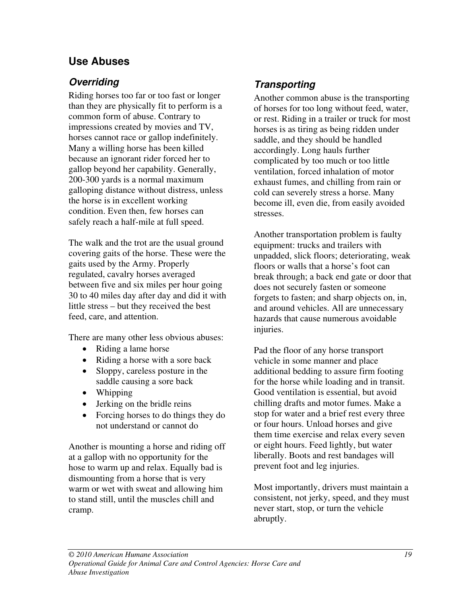# **Use Abuses**

# **Overriding**

Riding horses too far or too fast or longer than they are physically fit to perform is a common form of abuse. Contrary to impressions created by movies and TV, horses cannot race or gallop indefinitely. Many a willing horse has been killed because an ignorant rider forced her to gallop beyond her capability. Generally, 200-300 yards is a normal maximum galloping distance without distress, unless the horse is in excellent working condition. Even then, few horses can safely reach a half-mile at full speed.

The walk and the trot are the usual ground covering gaits of the horse. These were the gaits used by the Army. Properly regulated, cavalry horses averaged between five and six miles per hour going 30 to 40 miles day after day and did it with little stress – but they received the best feed, care, and attention.

There are many other less obvious abuses:

- Riding a lame horse
- Riding a horse with a sore back
- Sloppy, careless posture in the saddle causing a sore back
- Whipping
- Jerking on the bridle reins
- Forcing horses to do things they do not understand or cannot do

Another is mounting a horse and riding off at a gallop with no opportunity for the hose to warm up and relax. Equally bad is dismounting from a horse that is very warm or wet with sweat and allowing him to stand still, until the muscles chill and cramp.

# **Transporting**

Another common abuse is the transporting of horses for too long without feed, water, or rest. Riding in a trailer or truck for most horses is as tiring as being ridden under saddle, and they should be handled accordingly. Long hauls further complicated by too much or too little ventilation, forced inhalation of motor exhaust fumes, and chilling from rain or cold can severely stress a horse. Many become ill, even die, from easily avoided stresses.

Another transportation problem is faulty equipment: trucks and trailers with unpadded, slick floors; deteriorating, weak floors or walls that a horse's foot can break through; a back end gate or door that does not securely fasten or someone forgets to fasten; and sharp objects on, in, and around vehicles. All are unnecessary hazards that cause numerous avoidable injuries.

Pad the floor of any horse transport vehicle in some manner and place additional bedding to assure firm footing for the horse while loading and in transit. Good ventilation is essential, but avoid chilling drafts and motor fumes. Make a stop for water and a brief rest every three or four hours. Unload horses and give them time exercise and relax every seven or eight hours. Feed lightly, but water liberally. Boots and rest bandages will prevent foot and leg injuries.

Most importantly, drivers must maintain a consistent, not jerky, speed, and they must never start, stop, or turn the vehicle abruptly.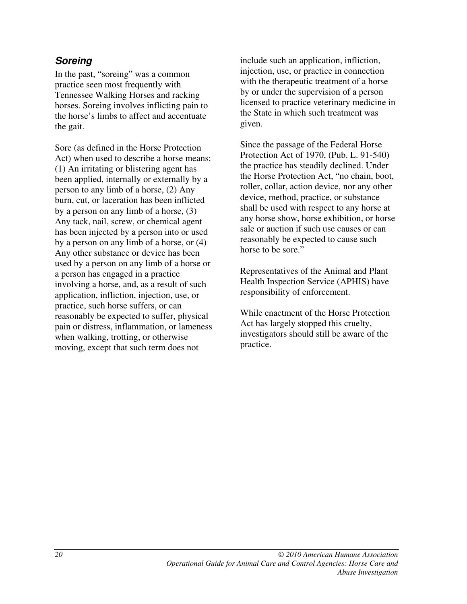### **Soreing**

In the past, "soreing" was a common practice seen most frequently with Tennessee Walking Horses and racking horses. Soreing involves inflicting pain to the horse's limbs to affect and accentuate the gait.

Sore (as defined in the Horse Protection Act) when used to describe a horse means: (1) An irritating or blistering agent has been applied, internally or externally by a person to any limb of a horse, (2) Any burn, cut, or laceration has been inflicted by a person on any limb of a horse, (3) Any tack, nail, screw, or chemical agent has been injected by a person into or used by a person on any limb of a horse, or (4) Any other substance or device has been used by a person on any limb of a horse or a person has engaged in a practice involving a horse, and, as a result of such application, infliction, injection, use, or practice, such horse suffers, or can reasonably be expected to suffer, physical pain or distress, inflammation, or lameness when walking, trotting, or otherwise moving, except that such term does not

include such an application, infliction, injection, use, or practice in connection with the therapeutic treatment of a horse by or under the supervision of a person licensed to practice veterinary medicine in the State in which such treatment was given.

Since the passage of the Federal Horse Protection Act of 1970, (Pub. L. 91-540) the practice has steadily declined. Under the Horse Protection Act, "no chain, boot, roller, collar, action device, nor any other device, method, practice, or substance shall be used with respect to any horse at any horse show, horse exhibition, or horse sale or auction if such use causes or can reasonably be expected to cause such horse to be sore."

Representatives of the Animal and Plant Health Inspection Service (APHIS) have responsibility of enforcement.

While enactment of the Horse Protection Act has largely stopped this cruelty, investigators should still be aware of the practice.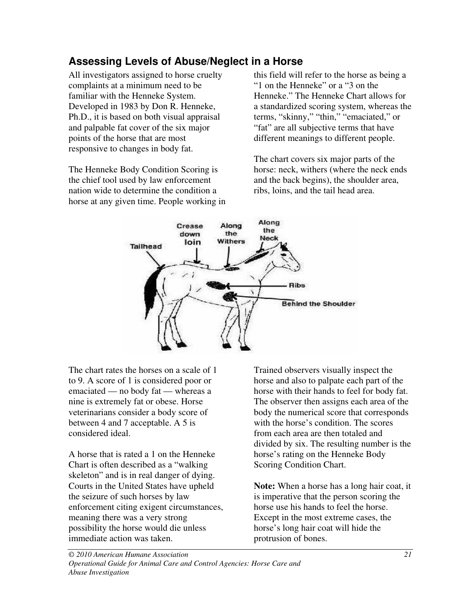# **Assessing Levels of Abuse/Neglect in a Horse**

All investigators assigned to horse cruelty complaints at a minimum need to be familiar with the Henneke System. Developed in 1983 by Don R. Henneke, Ph.D., it is based on both visual appraisal and palpable fat cover of the six major points of the horse that are most responsive to changes in body fat.

The Henneke Body Condition Scoring is the chief tool used by law enforcement nation wide to determine the condition a horse at any given time. People working in this field will refer to the horse as being a "1 on the Henneke" or a "3 on the Henneke." The Henneke Chart allows for a standardized scoring system, whereas the terms, "skinny," "thin," "emaciated," or "fat" are all subjective terms that have different meanings to different people.

The chart covers six major parts of the horse: neck, withers (where the neck ends and the back begins), the shoulder area, ribs, loins, and the tail head area.



The chart rates the horses on a scale of 1 to 9. A score of 1 is considered poor or emaciated — no body fat — whereas a nine is extremely fat or obese. Horse veterinarians consider a body score of between 4 and 7 acceptable. A 5 is considered ideal.

A horse that is rated a 1 on the Henneke Chart is often described as a "walking skeleton" and is in real danger of dying. Courts in the United States have upheld the seizure of such horses by law enforcement citing exigent circumstances, meaning there was a very strong possibility the horse would die unless immediate action was taken.

Trained observers visually inspect the horse and also to palpate each part of the horse with their hands to feel for body fat. The observer then assigns each area of the body the numerical score that corresponds with the horse's condition. The scores from each area are then totaled and divided by six. The resulting number is the horse's rating on the Henneke Body Scoring Condition Chart.

**Note:** When a horse has a long hair coat, it is imperative that the person scoring the horse use his hands to feel the horse. Except in the most extreme cases, the horse's long hair coat will hide the protrusion of bones.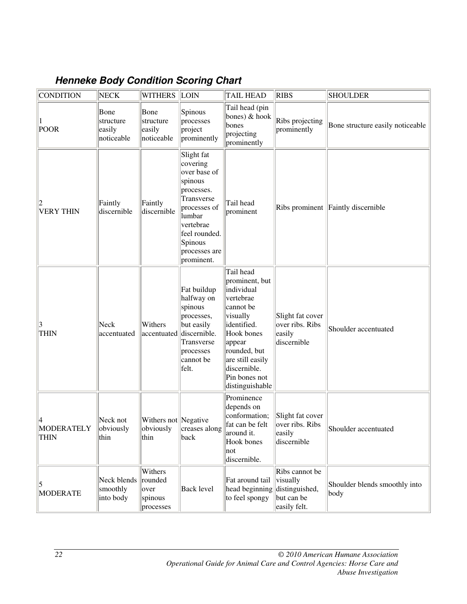# **Henneke Body Condition Scoring Chart**

| <b>CONDITION</b>          | <b>NECK</b>                               | <b>WITHERS LOIN</b>                                |                                                                                                                                                                                 | <b>TAIL HEAD</b>                                                                                                                                                                                               | <b>RIBS</b>                                                                | <b>SHOULDER</b>                       |
|---------------------------|-------------------------------------------|----------------------------------------------------|---------------------------------------------------------------------------------------------------------------------------------------------------------------------------------|----------------------------------------------------------------------------------------------------------------------------------------------------------------------------------------------------------------|----------------------------------------------------------------------------|---------------------------------------|
| POOR                      | Bone<br>structure<br>easily<br>noticeable | Bone<br>structure<br>easily<br>noticeable          | Spinous<br>processes<br>project<br>prominently                                                                                                                                  | Tail head (pin<br>bones) $&$ hook<br>bones<br>projecting<br>prominently                                                                                                                                        | Ribs projecting<br>prominently                                             | Bone structure easily noticeable      |
| <b>VERY THIN</b>          | Faintly<br>discernible                    | Faintly<br>discernible                             | Slight fat<br>covering<br>over base of<br>spinous<br>processes.<br>Transverse<br>processes of<br>lumbar<br>vertebrae<br>feel rounded.<br>Spinous<br>processes are<br>prominent. | Tail head<br>prominent                                                                                                                                                                                         |                                                                            | Ribs prominent Faintly discernible    |
| 3<br><b>THIN</b>          | Neck<br>accentuated                       | Withers<br>accentuated                             | Fat buildup<br>halfway on<br>spinous<br>processes,<br>but easily<br>discernible.<br>Transverse<br>processes<br>cannot be<br>felt.                                               | Tail head<br>prominent, but<br>individual<br>vertebrae<br>cannot be<br>visually<br>identified.<br>Hook bones<br>appear<br>rounded, but<br>are still easily<br>discernible.<br>Pin bones not<br>distinguishable | Slight fat cover<br>over ribs. Ribs<br>easily<br>discernible               | Shoulder accentuated                  |
| MODERATELY<br><b>THIN</b> | Neck not<br>obviously<br>thin             | Withers not Negative<br>thin                       | obviously   creases along<br>back                                                                                                                                               | Prominence<br>depends on<br>conformation;<br>fat can be felt<br>around it.<br>Hook bones<br> not<br>discernible.                                                                                               | Slight fat cover<br>over ribs. Ribs<br>easily<br>discernible               | Shoulder accentuated                  |
| 5<br>MODERATE             | Neck blends<br>smoothly<br>into body      | Withers<br>rounded<br>over<br>spinous<br>processes | <b>Back level</b>                                                                                                                                                               | Fat around tail<br>head beginning<br>to feel spongy                                                                                                                                                            | Ribs cannot be<br>visually<br>distinguished,<br>but can be<br>easily felt. | Shoulder blends smoothly into<br>body |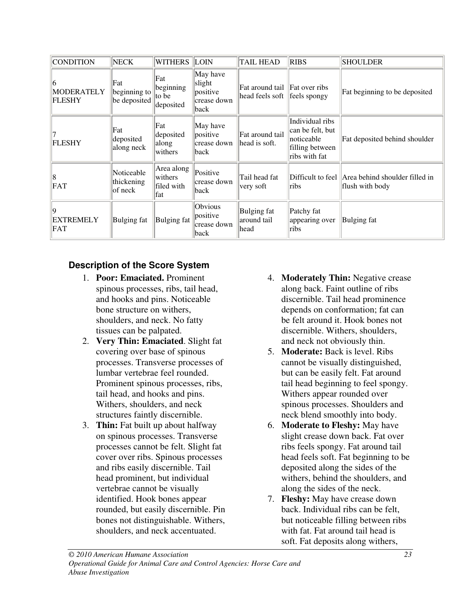| <b>CONDITION</b>                         | <b>NECK</b>                         | <b>WITHERS LOIN</b>                         |                                                       | <b>TAIL HEAD</b>                                                  | <b>RIBS</b>                                                                           | <b>SHOULDER</b>                                                       |
|------------------------------------------|-------------------------------------|---------------------------------------------|-------------------------------------------------------|-------------------------------------------------------------------|---------------------------------------------------------------------------------------|-----------------------------------------------------------------------|
| 16<br><b>MODERATELY</b><br><b>FLESHY</b> | Fat<br>beginning to<br>be deposited | Fat<br>beginning<br>to be<br>deposited      | May have<br>slight<br>positive<br>crease down<br>back | Fat around tail   Fat over ribs<br>head feels soft   feels spongy |                                                                                       | Fat beginning to be deposited                                         |
| <b>FLESHY</b>                            | Fat<br>deposited<br>along neck      | Fat<br>deposited<br>along<br>withers        | May have<br>positive<br>crease down<br>back           | Fat around tail<br>head is soft.                                  | Individual ribs<br>can be felt, but<br>noticeable<br>filling between<br>ribs with fat | Fat deposited behind shoulder                                         |
| 18<br>FAT                                | Noticeable<br>thickening<br>of neck | Area along<br>withers<br>filed with<br>lfat | Positive<br>crease down<br>back                       | Tail head fat<br>very soft                                        | ribs                                                                                  | Difficult to feel   Area behind shoulder filled in<br>flush with body |
| 19<br><b>EXTREMELY</b><br>FAT            | Bulging fat                         | Bulging fat                                 | Obvious<br>positive<br>crease down<br>back            | Bulging fat<br>around tail<br>head                                | Patchy fat<br>appearing over<br>ribs                                                  | <b>Bulging fat</b>                                                    |

### **Description of the Score System**

- 1. **Poor: Emaciated.** Prominent spinous processes, ribs, tail head, and hooks and pins. Noticeable bone structure on withers, shoulders, and neck. No fatty tissues can be palpated.
- 2. **Very Thin: Emaciated**. Slight fat covering over base of spinous processes. Transverse processes of lumbar vertebrae feel rounded. Prominent spinous processes, ribs, tail head, and hooks and pins. Withers, shoulders, and neck structures faintly discernible.
- 3. **Thin:** Fat built up about halfway on spinous processes. Transverse processes cannot be felt. Slight fat cover over ribs. Spinous processes and ribs easily discernible. Tail head prominent, but individual vertebrae cannot be visually identified. Hook bones appear rounded, but easily discernible. Pin bones not distinguishable. Withers, shoulders, and neck accentuated.
- 4. **Moderately Thin:** Negative crease along back. Faint outline of ribs discernible. Tail head prominence depends on conformation; fat can be felt around it. Hook bones not discernible. Withers, shoulders, and neck not obviously thin.
- 5. **Moderate:** Back is level. Ribs cannot be visually distinguished, but can be easily felt. Fat around tail head beginning to feel spongy. Withers appear rounded over spinous processes. Shoulders and neck blend smoothly into body.
- 6. **Moderate to Fleshy:** May have slight crease down back. Fat over ribs feels spongy. Fat around tail head feels soft. Fat beginning to be deposited along the sides of the withers, behind the shoulders, and along the sides of the neck.
- 7. **Fleshy:** May have crease down back. Individual ribs can be felt, but noticeable filling between ribs with fat. Fat around tail head is soft. Fat deposits along withers,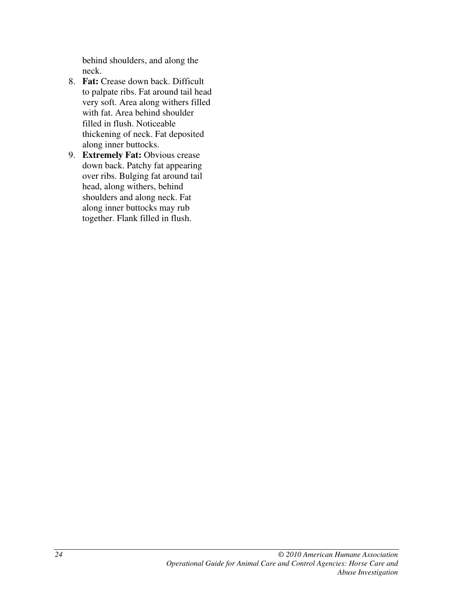behind shoulders, and along the neck.

- 8. **Fat:** Crease down back. Difficult to palpate ribs. Fat around tail head very soft. Area along withers filled with fat. Area behind shoulder filled in flush. Noticeable thickening of neck. Fat deposited along inner buttocks.
- 9. **Extremely Fat:** Obvious crease down back. Patchy fat appearing over ribs. Bulging fat around tail head, along withers, behind shoulders and along neck. Fat along inner buttocks may rub together. Flank filled in flush.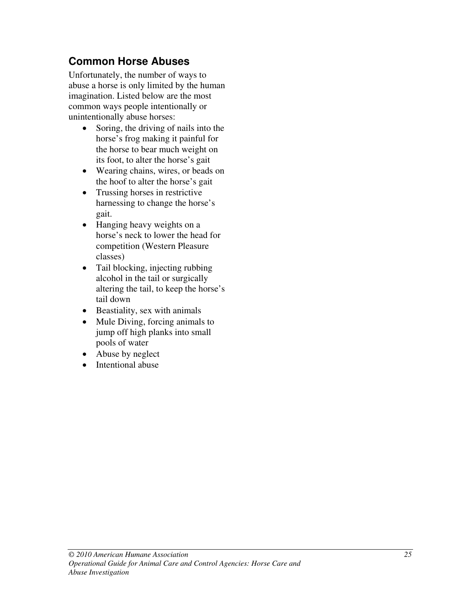# **Common Horse Abuses**

Unfortunately, the number of ways to abuse a horse is only limited by the human imagination. Listed below are the most common ways people intentionally or unintentionally abuse horses:

- Soring, the driving of nails into the horse's frog making it painful for the horse to bear much weight on its foot, to alter the horse's gait
- Wearing chains, wires, or beads on the hoof to alter the horse's gait
- Trussing horses in restrictive harnessing to change the horse's gait.
- Hanging heavy weights on a horse's neck to lower the head for competition (Western Pleasure classes)
- Tail blocking, injecting rubbing alcohol in the tail or surgically altering the tail, to keep the horse's tail down
- Beastiality, sex with animals
- Mule Diving, forcing animals to jump off high planks into small pools of water
- Abuse by neglect
- Intentional abuse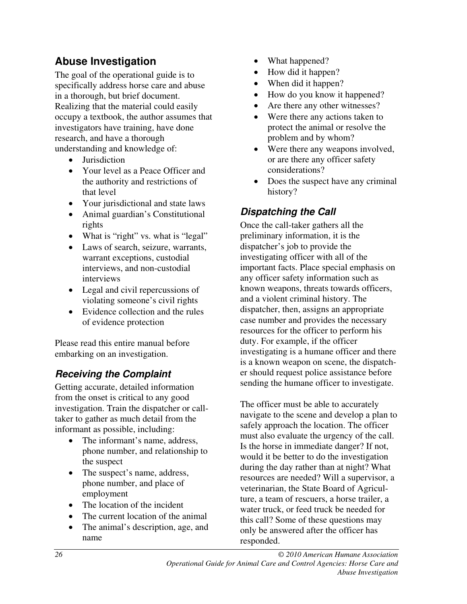# **Abuse Investigation**

The goal of the operational guide is to specifically address horse care and abuse in a thorough, but brief document. Realizing that the material could easily occupy a textbook, the author assumes that investigators have training, have done research, and have a thorough understanding and knowledge of:

- Jurisdiction
- Your level as a Peace Officer and the authority and restrictions of that level
- Your jurisdictional and state laws
- Animal guardian's Constitutional rights
- What is "right" vs. what is "legal"
- Laws of search, seizure, warrants, warrant exceptions, custodial interviews, and non-custodial interviews
- Legal and civil repercussions of violating someone's civil rights
- Evidence collection and the rules of evidence protection

Please read this entire manual before embarking on an investigation.

# **Receiving the Complaint**

Getting accurate, detailed information from the onset is critical to any good investigation. Train the dispatcher or calltaker to gather as much detail from the informant as possible, including:

- The informant's name, address, phone number, and relationship to the suspect
- The suspect's name, address, phone number, and place of employment
- The location of the incident
- The current location of the animal
- The animal's description, age, and name
- What happened?
- How did it happen?
- When did it happen?
- How do you know it happened?
- Are there any other witnesses?
- Were there any actions taken to protect the animal or resolve the problem and by whom?
- Were there any weapons involved, or are there any officer safety considerations?
- Does the suspect have any criminal history?

# **Dispatching the Call**

Once the call-taker gathers all the preliminary information, it is the dispatcher's job to provide the investigating officer with all of the important facts. Place special emphasis on any officer safety information such as known weapons, threats towards officers, and a violent criminal history. The dispatcher, then, assigns an appropriate case number and provides the necessary resources for the officer to perform his duty. For example, if the officer investigating is a humane officer and there is a known weapon on scene, the dispatcher should request police assistance before sending the humane officer to investigate.

The officer must be able to accurately navigate to the scene and develop a plan to safely approach the location. The officer must also evaluate the urgency of the call. Is the horse in immediate danger? If not, would it be better to do the investigation during the day rather than at night? What resources are needed? Will a supervisor, a veterinarian, the State Board of Agriculture, a team of rescuers, a horse trailer, a water truck, or feed truck be needed for this call? Some of these questions may only be answered after the officer has responded.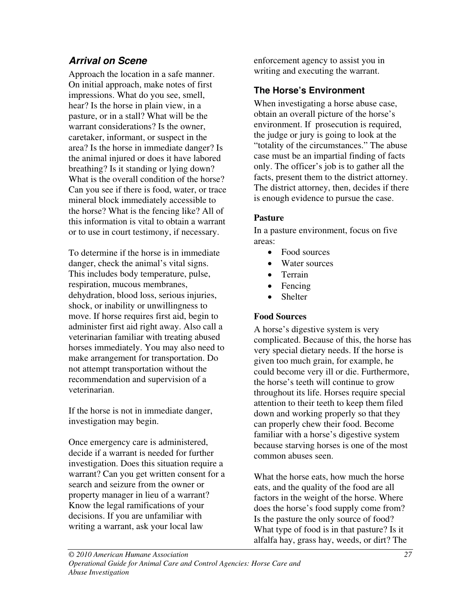# **Arrival on Scene**

Approach the location in a safe manner. On initial approach, make notes of first impressions. What do you see, smell, hear? Is the horse in plain view, in a pasture, or in a stall? What will be the warrant considerations? Is the owner, caretaker, informant, or suspect in the area? Is the horse in immediate danger? Is the animal injured or does it have labored breathing? Is it standing or lying down? What is the overall condition of the horse? Can you see if there is food, water, or trace mineral block immediately accessible to the horse? What is the fencing like? All of this information is vital to obtain a warrant or to use in court testimony, if necessary.

To determine if the horse is in immediate danger, check the animal's vital signs. This includes body temperature, pulse, respiration, mucous membranes, dehydration, blood loss, serious injuries, shock, or inability or unwillingness to move. If horse requires first aid, begin to administer first aid right away. Also call a veterinarian familiar with treating abused horses immediately. You may also need to make arrangement for transportation. Do not attempt transportation without the recommendation and supervision of a veterinarian.

If the horse is not in immediate danger, investigation may begin.

Once emergency care is administered, decide if a warrant is needed for further investigation. Does this situation require a warrant? Can you get written consent for a search and seizure from the owner or property manager in lieu of a warrant? Know the legal ramifications of your decisions. If you are unfamiliar with writing a warrant, ask your local law

enforcement agency to assist you in writing and executing the warrant.

### **The Horse's Environment**

When investigating a horse abuse case, obtain an overall picture of the horse's environment. If prosecution is required, the judge or jury is going to look at the "totality of the circumstances." The abuse case must be an impartial finding of facts only. The officer's job is to gather all the facts, present them to the district attorney. The district attorney, then, decides if there is enough evidence to pursue the case.

#### **Pasture**

In a pasture environment, focus on five areas:

- Food sources
- Water sources
- Terrain
- Fencing
- Shelter

#### **Food Sources**

A horse's digestive system is very complicated. Because of this, the horse has very special dietary needs. If the horse is given too much grain, for example, he could become very ill or die. Furthermore, the horse's teeth will continue to grow throughout its life. Horses require special attention to their teeth to keep them filed down and working properly so that they can properly chew their food. Become familiar with a horse's digestive system because starving horses is one of the most common abuses seen.

What the horse eats, how much the horse eats, and the quality of the food are all factors in the weight of the horse. Where does the horse's food supply come from? Is the pasture the only source of food? What type of food is in that pasture? Is it alfalfa hay, grass hay, weeds, or dirt? The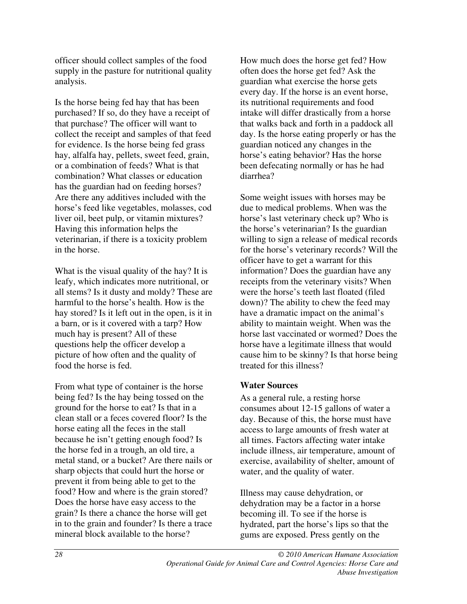officer should collect samples of the food supply in the pasture for nutritional quality analysis.

Is the horse being fed hay that has been purchased? If so, do they have a receipt of that purchase? The officer will want to collect the receipt and samples of that feed for evidence. Is the horse being fed grass hay, alfalfa hay, pellets, sweet feed, grain, or a combination of feeds? What is that combination? What classes or education has the guardian had on feeding horses? Are there any additives included with the horse's feed like vegetables, molasses, cod liver oil, beet pulp, or vitamin mixtures? Having this information helps the veterinarian, if there is a toxicity problem in the horse.

What is the visual quality of the hay? It is leafy, which indicates more nutritional, or all stems? Is it dusty and moldy? These are harmful to the horse's health. How is the hay stored? Is it left out in the open, is it in a barn, or is it covered with a tarp? How much hay is present? All of these questions help the officer develop a picture of how often and the quality of food the horse is fed.

From what type of container is the horse being fed? Is the hay being tossed on the ground for the horse to eat? Is that in a clean stall or a feces covered floor? Is the horse eating all the feces in the stall because he isn't getting enough food? Is the horse fed in a trough, an old tire, a metal stand, or a bucket? Are there nails or sharp objects that could hurt the horse or prevent it from being able to get to the food? How and where is the grain stored? Does the horse have easy access to the grain? Is there a chance the horse will get in to the grain and founder? Is there a trace mineral block available to the horse?

How much does the horse get fed? How often does the horse get fed? Ask the guardian what exercise the horse gets every day. If the horse is an event horse, its nutritional requirements and food intake will differ drastically from a horse that walks back and forth in a paddock all day. Is the horse eating properly or has the guardian noticed any changes in the horse's eating behavior? Has the horse been defecating normally or has he had diarrhea?

Some weight issues with horses may be due to medical problems. When was the horse's last veterinary check up? Who is the horse's veterinarian? Is the guardian willing to sign a release of medical records for the horse's veterinary records? Will the officer have to get a warrant for this information? Does the guardian have any receipts from the veterinary visits? When were the horse's teeth last floated (filed down)? The ability to chew the feed may have a dramatic impact on the animal's ability to maintain weight. When was the horse last vaccinated or wormed? Does the horse have a legitimate illness that would cause him to be skinny? Is that horse being treated for this illness?

#### **Water Sources**

As a general rule, a resting horse consumes about 12-15 gallons of water a day. Because of this, the horse must have access to large amounts of fresh water at all times. Factors affecting water intake include illness, air temperature, amount of exercise, availability of shelter, amount of water, and the quality of water.

Illness may cause dehydration, or dehydration may be a factor in a horse becoming ill. To see if the horse is hydrated, part the horse's lips so that the gums are exposed. Press gently on the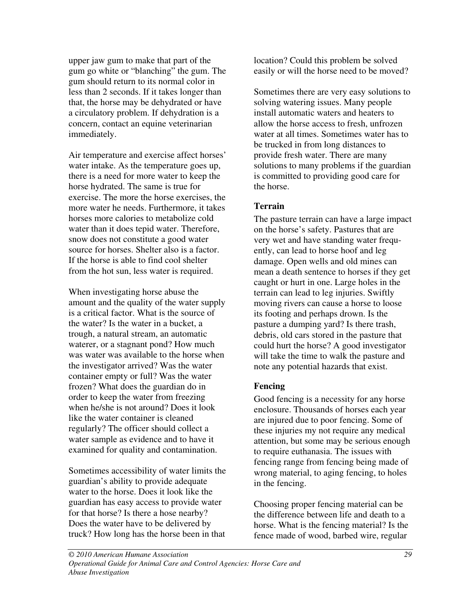upper jaw gum to make that part of the gum go white or "blanching" the gum. The gum should return to its normal color in less than 2 seconds. If it takes longer than that, the horse may be dehydrated or have a circulatory problem. If dehydration is a concern, contact an equine veterinarian immediately.

Air temperature and exercise affect horses' water intake. As the temperature goes up, there is a need for more water to keep the horse hydrated. The same is true for exercise. The more the horse exercises, the more water he needs. Furthermore, it takes horses more calories to metabolize cold water than it does tepid water. Therefore, snow does not constitute a good water source for horses. Shelter also is a factor. If the horse is able to find cool shelter from the hot sun, less water is required.

When investigating horse abuse the amount and the quality of the water supply is a critical factor. What is the source of the water? Is the water in a bucket, a trough, a natural stream, an automatic waterer, or a stagnant pond? How much was water was available to the horse when the investigator arrived? Was the water container empty or full? Was the water frozen? What does the guardian do in order to keep the water from freezing when he/she is not around? Does it look like the water container is cleaned regularly? The officer should collect a water sample as evidence and to have it examined for quality and contamination.

Sometimes accessibility of water limits the guardian's ability to provide adequate water to the horse. Does it look like the guardian has easy access to provide water for that horse? Is there a hose nearby? Does the water have to be delivered by truck? How long has the horse been in that

location? Could this problem be solved easily or will the horse need to be moved?

Sometimes there are very easy solutions to solving watering issues. Many people install automatic waters and heaters to allow the horse access to fresh, unfrozen water at all times. Sometimes water has to be trucked in from long distances to provide fresh water. There are many solutions to many problems if the guardian is committed to providing good care for the horse.

#### **Terrain**

The pasture terrain can have a large impact on the horse's safety. Pastures that are very wet and have standing water frequently, can lead to horse hoof and leg damage. Open wells and old mines can mean a death sentence to horses if they get caught or hurt in one. Large holes in the terrain can lead to leg injuries. Swiftly moving rivers can cause a horse to loose its footing and perhaps drown. Is the pasture a dumping yard? Is there trash, debris, old cars stored in the pasture that could hurt the horse? A good investigator will take the time to walk the pasture and note any potential hazards that exist.

#### **Fencing**

Good fencing is a necessity for any horse enclosure. Thousands of horses each year are injured due to poor fencing. Some of these injuries my not require any medical attention, but some may be serious enough to require euthanasia. The issues with fencing range from fencing being made of wrong material, to aging fencing, to holes in the fencing.

Choosing proper fencing material can be the difference between life and death to a horse. What is the fencing material? Is the fence made of wood, barbed wire, regular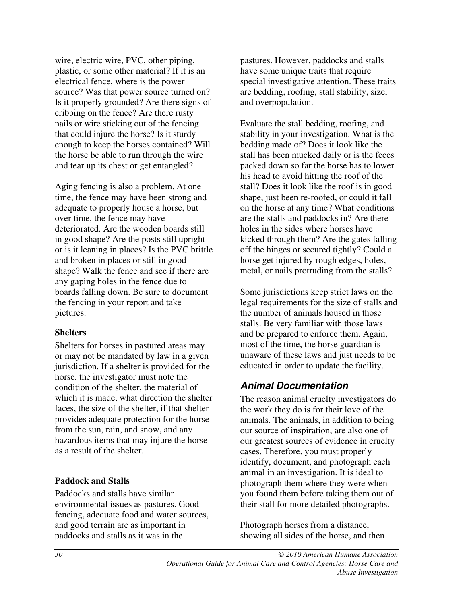wire, electric wire, PVC, other piping, plastic, or some other material? If it is an electrical fence, where is the power source? Was that power source turned on? Is it properly grounded? Are there signs of cribbing on the fence? Are there rusty nails or wire sticking out of the fencing that could injure the horse? Is it sturdy enough to keep the horses contained? Will the horse be able to run through the wire and tear up its chest or get entangled?

Aging fencing is also a problem. At one time, the fence may have been strong and adequate to properly house a horse, but over time, the fence may have deteriorated. Are the wooden boards still in good shape? Are the posts still upright or is it leaning in places? Is the PVC brittle and broken in places or still in good shape? Walk the fence and see if there are any gaping holes in the fence due to boards falling down. Be sure to document the fencing in your report and take pictures.

#### **Shelters**

Shelters for horses in pastured areas may or may not be mandated by law in a given jurisdiction. If a shelter is provided for the horse, the investigator must note the condition of the shelter, the material of which it is made, what direction the shelter faces, the size of the shelter, if that shelter provides adequate protection for the horse from the sun, rain, and snow, and any hazardous items that may injure the horse as a result of the shelter.

#### **Paddock and Stalls**

Paddocks and stalls have similar environmental issues as pastures. Good fencing, adequate food and water sources, and good terrain are as important in paddocks and stalls as it was in the

pastures. However, paddocks and stalls have some unique traits that require special investigative attention. These traits are bedding, roofing, stall stability, size, and overpopulation.

Evaluate the stall bedding, roofing, and stability in your investigation. What is the bedding made of? Does it look like the stall has been mucked daily or is the feces packed down so far the horse has to lower his head to avoid hitting the roof of the stall? Does it look like the roof is in good shape, just been re-roofed, or could it fall on the horse at any time? What conditions are the stalls and paddocks in? Are there holes in the sides where horses have kicked through them? Are the gates falling off the hinges or secured tightly? Could a horse get injured by rough edges, holes, metal, or nails protruding from the stalls?

Some jurisdictions keep strict laws on the legal requirements for the size of stalls and the number of animals housed in those stalls. Be very familiar with those laws and be prepared to enforce them. Again, most of the time, the horse guardian is unaware of these laws and just needs to be educated in order to update the facility.

### **Animal Documentation**

The reason animal cruelty investigators do the work they do is for their love of the animals. The animals, in addition to being our source of inspiration, are also one of our greatest sources of evidence in cruelty cases. Therefore, you must properly identify, document, and photograph each animal in an investigation. It is ideal to photograph them where they were when you found them before taking them out of their stall for more detailed photographs.

Photograph horses from a distance, showing all sides of the horse, and then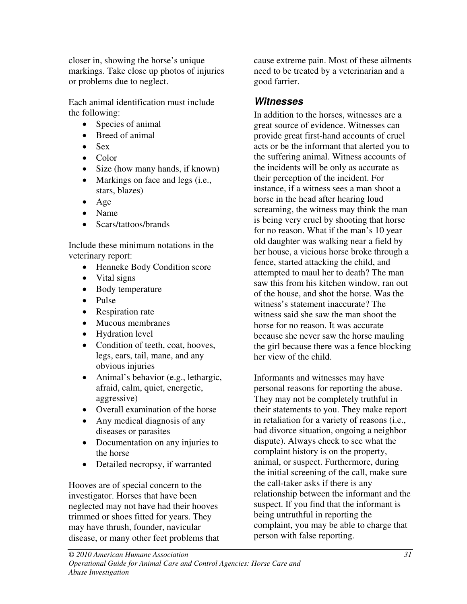closer in, showing the horse's unique markings. Take close up photos of injuries or problems due to neglect.

Each animal identification must include the following:

- Species of animal
- Breed of animal
- Sex
- Color
- Size (how many hands, if known)
- Markings on face and legs (i.e., stars, blazes)
- Age
- Name
- Scars/tattoos/brands

Include these minimum notations in the veterinary report:

- Henneke Body Condition score
- Vital signs
- Body temperature
- Pulse
- Respiration rate
- Mucous membranes
- Hydration level
- Condition of teeth, coat, hooves, legs, ears, tail, mane, and any obvious injuries
- Animal's behavior (e.g., lethargic, afraid, calm, quiet, energetic, aggressive)
- Overall examination of the horse
- Any medical diagnosis of any diseases or parasites
- Documentation on any injuries to the horse
- Detailed necropsy, if warranted

Hooves are of special concern to the investigator. Horses that have been neglected may not have had their hooves trimmed or shoes fitted for years. They may have thrush, founder, navicular disease, or many other feet problems that cause extreme pain. Most of these ailments need to be treated by a veterinarian and a good farrier.

# **Witnesses**

In addition to the horses, witnesses are a great source of evidence. Witnesses can provide great first-hand accounts of cruel acts or be the informant that alerted you to the suffering animal. Witness accounts of the incidents will be only as accurate as their perception of the incident. For instance, if a witness sees a man shoot a horse in the head after hearing loud screaming, the witness may think the man is being very cruel by shooting that horse for no reason. What if the man's 10 year old daughter was walking near a field by her house, a vicious horse broke through a fence, started attacking the child, and attempted to maul her to death? The man saw this from his kitchen window, ran out of the house, and shot the horse. Was the witness's statement inaccurate? The witness said she saw the man shoot the horse for no reason. It was accurate because she never saw the horse mauling the girl because there was a fence blocking her view of the child.

Informants and witnesses may have personal reasons for reporting the abuse. They may not be completely truthful in their statements to you. They make report in retaliation for a variety of reasons (i.e., bad divorce situation, ongoing a neighbor dispute). Always check to see what the complaint history is on the property, animal, or suspect. Furthermore, during the initial screening of the call, make sure the call-taker asks if there is any relationship between the informant and the suspect. If you find that the informant is being untruthful in reporting the complaint, you may be able to charge that person with false reporting.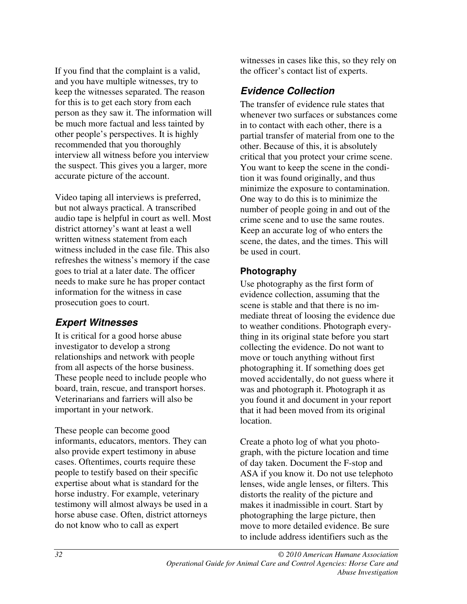If you find that the complaint is a valid, and you have multiple witnesses, try to keep the witnesses separated. The reason for this is to get each story from each person as they saw it. The information will be much more factual and less tainted by other people's perspectives. It is highly recommended that you thoroughly interview all witness before you interview the suspect. This gives you a larger, more accurate picture of the account.

Video taping all interviews is preferred, but not always practical. A transcribed audio tape is helpful in court as well. Most district attorney's want at least a well written witness statement from each witness included in the case file. This also refreshes the witness's memory if the case goes to trial at a later date. The officer needs to make sure he has proper contact information for the witness in case prosecution goes to court.

### **Expert Witnesses**

It is critical for a good horse abuse investigator to develop a strong relationships and network with people from all aspects of the horse business. These people need to include people who board, train, rescue, and transport horses. Veterinarians and farriers will also be important in your network.

These people can become good informants, educators, mentors. They can also provide expert testimony in abuse cases. Oftentimes, courts require these people to testify based on their specific expertise about what is standard for the horse industry. For example, veterinary testimony will almost always be used in a horse abuse case. Often, district attorneys do not know who to call as expert

witnesses in cases like this, so they rely on the officer's contact list of experts.

# **Evidence Collection**

The transfer of evidence rule states that whenever two surfaces or substances come in to contact with each other, there is a partial transfer of material from one to the other. Because of this, it is absolutely critical that you protect your crime scene. You want to keep the scene in the condition it was found originally, and thus minimize the exposure to contamination. One way to do this is to minimize the number of people going in and out of the crime scene and to use the same routes. Keep an accurate log of who enters the scene, the dates, and the times. This will be used in court.

### **Photography**

Use photography as the first form of evidence collection, assuming that the scene is stable and that there is no immediate threat of loosing the evidence due to weather conditions. Photograph everything in its original state before you start collecting the evidence. Do not want to move or touch anything without first photographing it. If something does get moved accidentally, do not guess where it was and photograph it. Photograph it as you found it and document in your report that it had been moved from its original location.

Create a photo log of what you photograph, with the picture location and time of day taken. Document the F-stop and ASA if you know it. Do not use telephoto lenses, wide angle lenses, or filters. This distorts the reality of the picture and makes it inadmissible in court. Start by photographing the large picture, then move to more detailed evidence. Be sure to include address identifiers such as the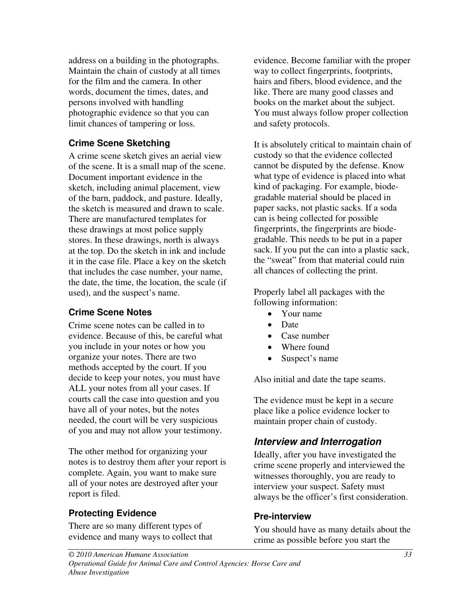address on a building in the photographs. Maintain the chain of custody at all times for the film and the camera. In other words, document the times, dates, and persons involved with handling photographic evidence so that you can limit chances of tampering or loss.

#### **Crime Scene Sketching**

A crime scene sketch gives an aerial view of the scene. It is a small map of the scene. Document important evidence in the sketch, including animal placement, view of the barn, paddock, and pasture. Ideally, the sketch is measured and drawn to scale. There are manufactured templates for these drawings at most police supply stores. In these drawings, north is always at the top. Do the sketch in ink and include it in the case file. Place a key on the sketch that includes the case number, your name, the date, the time, the location, the scale (if used), and the suspect's name.

#### **Crime Scene Notes**

Crime scene notes can be called in to evidence. Because of this, be careful what you include in your notes or how you organize your notes. There are two methods accepted by the court. If you decide to keep your notes, you must have ALL your notes from all your cases. If courts call the case into question and you have all of your notes, but the notes needed, the court will be very suspicious of you and may not allow your testimony.

The other method for organizing your notes is to destroy them after your report is complete. Again, you want to make sure all of your notes are destroyed after your report is filed.

### **Protecting Evidence**

There are so many different types of evidence and many ways to collect that evidence. Become familiar with the proper way to collect fingerprints, footprints, hairs and fibers, blood evidence, and the like. There are many good classes and books on the market about the subject. You must always follow proper collection and safety protocols.

It is absolutely critical to maintain chain of custody so that the evidence collected cannot be disputed by the defense. Know what type of evidence is placed into what kind of packaging. For example, biodegradable material should be placed in paper sacks, not plastic sacks. If a soda can is being collected for possible fingerprints, the fingerprints are biodegradable. This needs to be put in a paper sack. If you put the can into a plastic sack, the "sweat" from that material could ruin all chances of collecting the print.

Properly label all packages with the following information:

- Your name
- Date
- Case number
- Where found
- Suspect's name

Also initial and date the tape seams.

The evidence must be kept in a secure place like a police evidence locker to maintain proper chain of custody.

### **Interview and Interrogation**

Ideally, after you have investigated the crime scene properly and interviewed the witnesses thoroughly, you are ready to interview your suspect. Safety must always be the officer's first consideration.

#### **Pre-interview**

You should have as many details about the crime as possible before you start the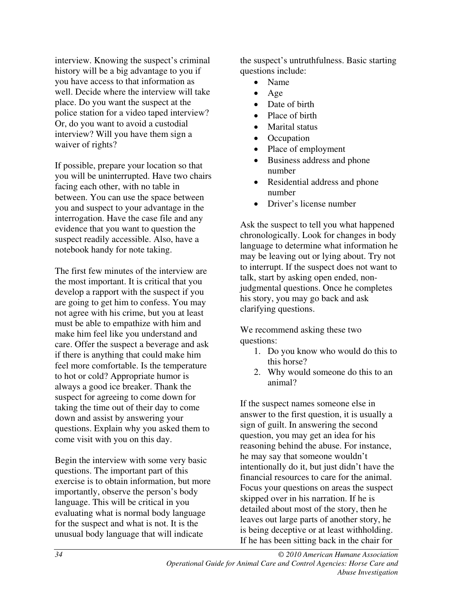interview. Knowing the suspect's criminal history will be a big advantage to you if you have access to that information as well. Decide where the interview will take place. Do you want the suspect at the police station for a video taped interview? Or, do you want to avoid a custodial interview? Will you have them sign a waiver of rights?

If possible, prepare your location so that you will be uninterrupted. Have two chairs facing each other, with no table in between. You can use the space between you and suspect to your advantage in the interrogation. Have the case file and any evidence that you want to question the suspect readily accessible. Also, have a notebook handy for note taking.

The first few minutes of the interview are the most important. It is critical that you develop a rapport with the suspect if you are going to get him to confess. You may not agree with his crime, but you at least must be able to empathize with him and make him feel like you understand and care. Offer the suspect a beverage and ask if there is anything that could make him feel more comfortable. Is the temperature to hot or cold? Appropriate humor is always a good ice breaker. Thank the suspect for agreeing to come down for taking the time out of their day to come down and assist by answering your questions. Explain why you asked them to come visit with you on this day.

Begin the interview with some very basic questions. The important part of this exercise is to obtain information, but more importantly, observe the person's body language. This will be critical in you evaluating what is normal body language for the suspect and what is not. It is the unusual body language that will indicate

the suspect's untruthfulness. Basic starting questions include:

- Name
- Age
- Date of birth
- Place of birth
- Marital status
- Occupation
- Place of employment
- Business address and phone number
- Residential address and phone number
- Driver's license number

Ask the suspect to tell you what happened chronologically. Look for changes in body language to determine what information he may be leaving out or lying about. Try not to interrupt. If the suspect does not want to talk, start by asking open ended, nonjudgmental questions. Once he completes his story, you may go back and ask clarifying questions.

We recommend asking these two questions:

- 1. Do you know who would do this to this horse?
- 2. Why would someone do this to an animal?

If the suspect names someone else in answer to the first question, it is usually a sign of guilt. In answering the second question, you may get an idea for his reasoning behind the abuse. For instance, he may say that someone wouldn't intentionally do it, but just didn't have the financial resources to care for the animal. Focus your questions on areas the suspect skipped over in his narration. If he is detailed about most of the story, then he leaves out large parts of another story, he is being deceptive or at least withholding. If he has been sitting back in the chair for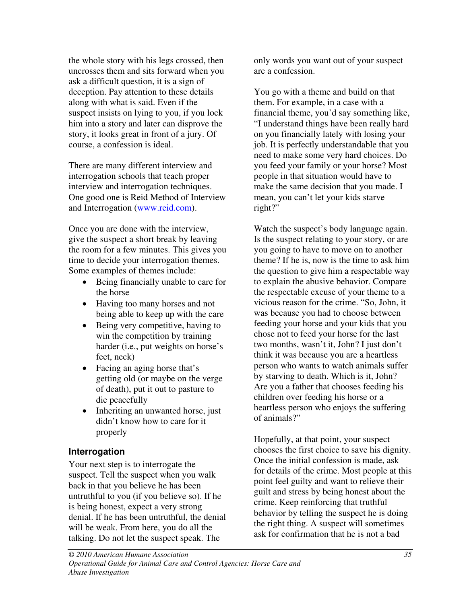the whole story with his legs crossed, then uncrosses them and sits forward when you ask a difficult question, it is a sign of deception. Pay attention to these details along with what is said. Even if the suspect insists on lying to you, if you lock him into a story and later can disprove the story, it looks great in front of a jury. Of course, a confession is ideal.

There are many different interview and interrogation schools that teach proper interview and interrogation techniques. One good one is Reid Method of Interview and Interrogation (www.reid.com).

Once you are done with the interview, give the suspect a short break by leaving the room for a few minutes. This gives you time to decide your interrogation themes. Some examples of themes include:

- Being financially unable to care for the horse
- Having too many horses and not being able to keep up with the care
- Being very competitive, having to win the competition by training harder (i.e., put weights on horse's feet, neck)
- Facing an aging horse that's getting old (or maybe on the verge of death), put it out to pasture to die peacefully
- Inheriting an unwanted horse, just didn't know how to care for it properly

### **Interrogation**

Your next step is to interrogate the suspect. Tell the suspect when you walk back in that you believe he has been untruthful to you (if you believe so). If he is being honest, expect a very strong denial. If he has been untruthful, the denial will be weak. From here, you do all the talking. Do not let the suspect speak. The

only words you want out of your suspect are a confession.

You go with a theme and build on that them. For example, in a case with a financial theme, you'd say something like, "I understand things have been really hard on you financially lately with losing your job. It is perfectly understandable that you need to make some very hard choices. Do you feed your family or your horse? Most people in that situation would have to make the same decision that you made. I mean, you can't let your kids starve right?"

Watch the suspect's body language again. Is the suspect relating to your story, or are you going to have to move on to another theme? If he is, now is the time to ask him the question to give him a respectable way to explain the abusive behavior. Compare the respectable excuse of your theme to a vicious reason for the crime. "So, John, it was because you had to choose between feeding your horse and your kids that you chose not to feed your horse for the last two months, wasn't it, John? I just don't think it was because you are a heartless person who wants to watch animals suffer by starving to death. Which is it, John? Are you a father that chooses feeding his children over feeding his horse or a heartless person who enjoys the suffering of animals?"

Hopefully, at that point, your suspect chooses the first choice to save his dignity. Once the initial confession is made, ask for details of the crime. Most people at this point feel guilty and want to relieve their guilt and stress by being honest about the crime. Keep reinforcing that truthful behavior by telling the suspect he is doing the right thing. A suspect will sometimes ask for confirmation that he is not a bad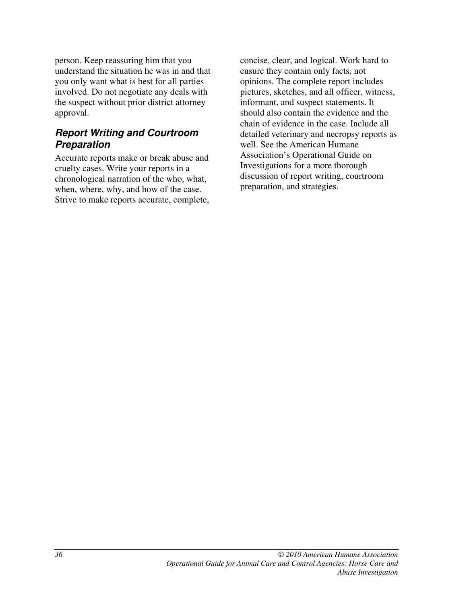person. Keep reassuring him that you understand the situation he was in and that you only want what is best for all parties involved. Do not negotiate any deals with the suspect without prior district attorney approval.

### **Report Writing and Courtroom Preparation**

Accurate reports make or break abuse and cruelty cases. Write your reports in a chronological narration of the who, what, when, where, why, and how of the case. Strive to make reports accurate, complete, concise, clear, and logical. Work hard to ensure they contain only facts, not opinions. The complete report includes pictures, sketches, and all officer, witness, informant, and suspect statements. It should also contain the evidence and the chain of evidence in the case. Include all detailed veterinary and necropsy reports as well. See the American Humane Association's Operational Guide on Investigations for a more thorough discussion of report writing, courtroom preparation, and strategies.